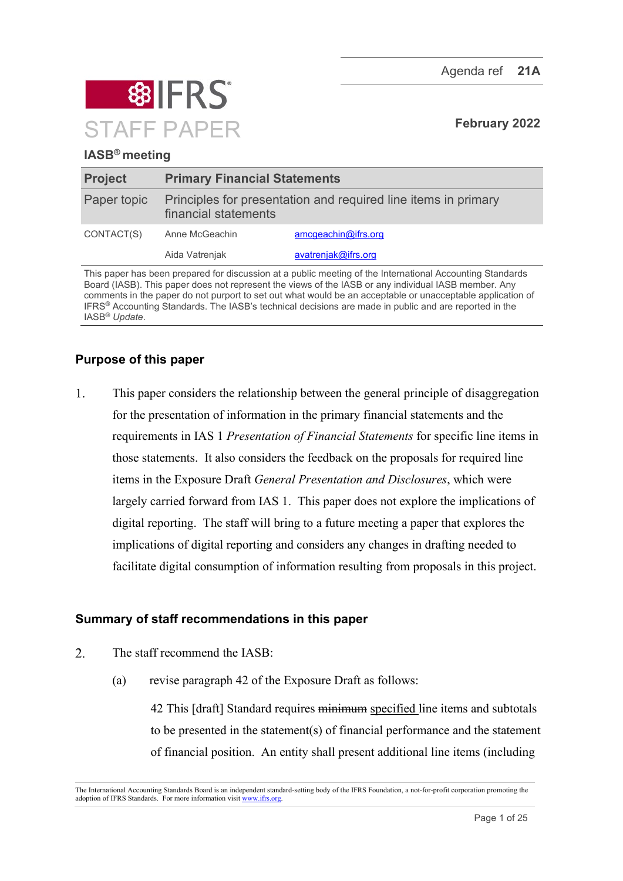

## **IASB® meeting**

| <b>Project</b> | <b>Primary Financial Statements</b>                                                    |                     |
|----------------|----------------------------------------------------------------------------------------|---------------------|
| Paper topic    | Principles for presentation and required line items in primary<br>financial statements |                     |
| CONTACT(S)     | Anne McGeachin                                                                         | amcgeachin@ifrs.org |
|                | Aida Vatrenjak                                                                         | avatrenjak@ifrs.org |

This paper has been prepared for discussion at a public meeting of the International Accounting Standards Board (IASB). This paper does not represent the views of the IASB or any individual IASB member. Any comments in the paper do not purport to set out what would be an acceptable or unacceptable application of IFRS® Accounting Standards. The IASB's technical decisions are made in public and are reported in the IASB® *Update*.

# **Purpose of this paper**

 $1.$ This paper considers the relationship between the general principle of disaggregation for the presentation of information in the primary financial statements and the requirements in IAS 1 *Presentation of Financial Statements* for specific line items in those statements. It also considers the feedback on the proposals for required line items in the Exposure Draft *General Presentation and Disclosures*, which were largely carried forward from IAS 1. This paper does not explore the implications of digital reporting. The staff will bring to a future meeting a paper that explores the implications of digital reporting and considers any changes in drafting needed to facilitate digital consumption of information resulting from proposals in this project.

## **Summary of staff recommendations in this paper**

- $\overline{2}$ . The staff recommend the IASB:
	- (a) revise paragraph 42 of the Exposure Draft as follows:

42 This [draft] Standard requires minimum specified line items and subtotals to be presented in the statement(s) of financial performance and the statement of financial position. An entity shall present additional line items (including

The International Accounting Standards Board is an independent standard-setting body of the IFRS Foundation, a not-for-profit corporation promoting the adoption of IFRS Standards. For more information visit [www.ifrs.org.](http://www.ifrs.org/)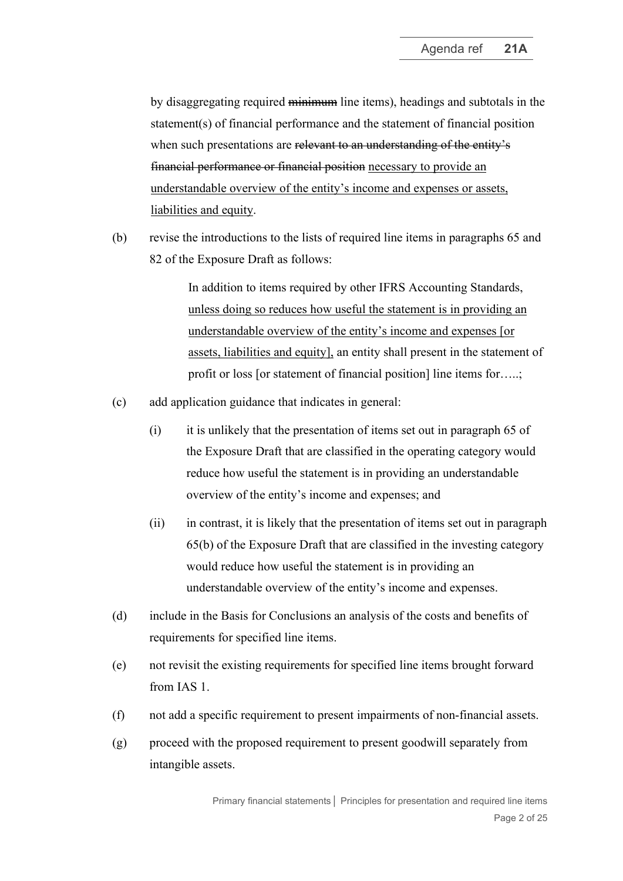by disaggregating required minimum line items), headings and subtotals in the statement(s) of financial performance and the statement of financial position when such presentations are relevant to an understanding of the entity's financial performance or financial position necessary to provide an understandable overview of the entity's income and expenses or assets, liabilities and equity.

(b) revise the introductions to the lists of required line items in paragraphs 65 and 82 of the Exposure Draft as follows:

> In addition to items required by other IFRS Accounting Standards, unless doing so reduces how useful the statement is in providing an understandable overview of the entity's income and expenses [or assets, liabilities and equity], an entity shall present in the statement of profit or loss [or statement of financial position] line items for…..;

- (c) add application guidance that indicates in general:
	- (i) it is unlikely that the presentation of items set out in paragraph 65 of the Exposure Draft that are classified in the operating category would reduce how useful the statement is in providing an understandable overview of the entity's income and expenses; and
	- (ii) in contrast, it is likely that the presentation of items set out in paragraph 65(b) of the Exposure Draft that are classified in the investing category would reduce how useful the statement is in providing an understandable overview of the entity's income and expenses.
- (d) include in the Basis for Conclusions an analysis of the costs and benefits of requirements for specified line items.
- (e) not revisit the existing requirements for specified line items brought forward from IAS 1.
- (f) not add a specific requirement to present impairments of non-financial assets.
- (g) proceed with the proposed requirement to present goodwill separately from intangible assets.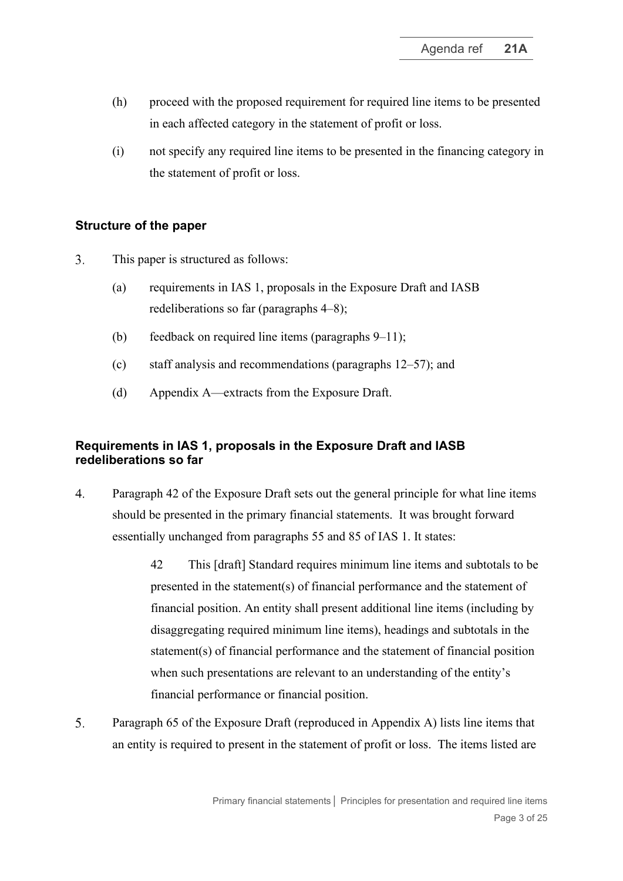- (h) proceed with the proposed requirement for required line items to be presented in each affected category in the statement of profit or loss.
- (i) not specify any required line items to be presented in the financing category in the statement of profit or loss.

## **Structure of the paper**

- $3<sub>1</sub>$ This paper is structured as follows:
	- (a) requirements in IAS 1, proposals in the Exposure Draft and IASB redeliberations so far (paragraphs [4–](#page-2-0)[8\)](#page-3-0);
	- (b) feedback on required line items (paragraphs [9–](#page-4-0)[11\)](#page-4-1);
	- (c) staff analysis and recommendations (paragraphs [12](#page-5-0)[–57\)](#page-20-0); and
	- (d) Appendix A—extracts from the Exposure Draft.

## **Requirements in IAS 1, proposals in the Exposure Draft and IASB redeliberations so far**

- <span id="page-2-0"></span> $\overline{4}$ . Paragraph 42 of the Exposure Draft sets out the general principle for what line items should be presented in the primary financial statements. It was brought forward essentially unchanged from paragraphs 55 and 85 of IAS 1. It states:
	- 42 This [draft] Standard requires minimum line items and subtotals to be presented in the statement(s) of financial performance and the statement of financial position. An entity shall present additional line items (including by disaggregating required minimum line items), headings and subtotals in the statement(s) of financial performance and the statement of financial position when such presentations are relevant to an understanding of the entity's financial performance or financial position.
- 5. Paragraph 65 of the Exposure Draft (reproduced in Appendix A) lists line items that an entity is required to present in the statement of profit or loss. The items listed are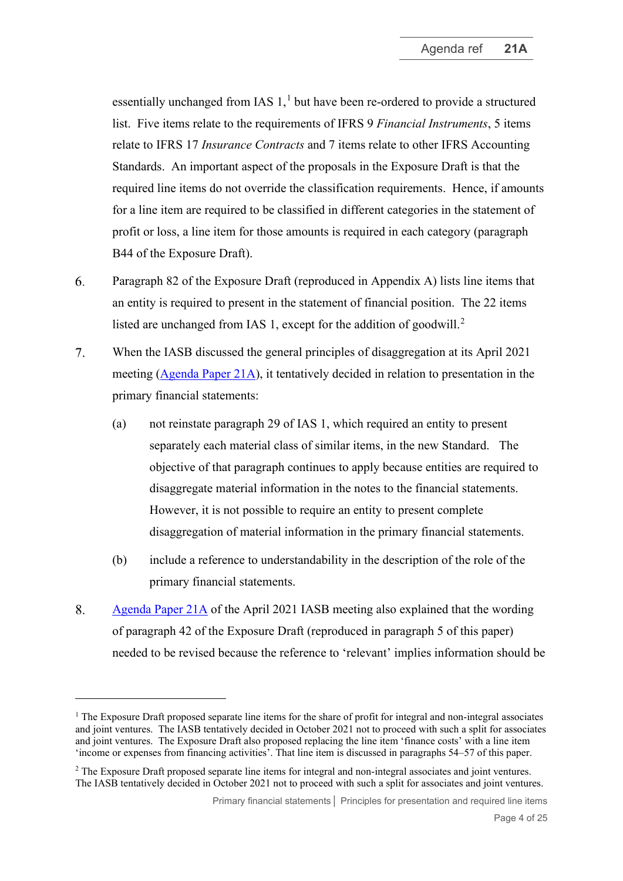essentially unchanged from IAS  $1<sup>1</sup>$  $1<sup>1</sup>$  but have been re-ordered to provide a structured list. Five items relate to the requirements of IFRS 9 *Financial Instruments*, 5 items relate to IFRS 17 *Insurance Contracts* and 7 items relate to other IFRS Accounting Standards. An important aspect of the proposals in the Exposure Draft is that the required line items do not override the classification requirements. Hence, if amounts for a line item are required to be classified in different categories in the statement of profit or loss, a line item for those amounts is required in each category (paragraph B44 of the Exposure Draft).

- 6. Paragraph 82 of the Exposure Draft (reproduced in Appendix A) lists line items that an entity is required to present in the statement of financial position. The 22 items listed are unchanged from IAS 1, except for the addition of goodwill.<sup>[2](#page-3-2)</sup>
- <span id="page-3-4"></span><span id="page-3-3"></span> $7.$ When the IASB discussed the general principles of disaggregation at its April 2021 meeting [\(Agenda Paper 21A\)](https://www.ifrs.org/content/dam/ifrs/meetings/2021/april/iasb/ap21a-primary-financial-statements.pdf), it tentatively decided in relation to presentation in the primary financial statements:
	- (a) not reinstate paragraph 29 of IAS 1, which required an entity to present separately each material class of similar items, in the new Standard. The objective of that paragraph continues to apply because entities are required to disaggregate material information in the notes to the financial statements. However, it is not possible to require an entity to present complete disaggregation of material information in the primary financial statements.
	- (b) include a reference to understandability in the description of the role of the primary financial statements.
- <span id="page-3-0"></span>8. [Agenda Paper 21A](https://www.ifrs.org/content/dam/ifrs/meetings/2021/april/iasb/ap21a-primary-financial-statements.pdf) of the April 2021 IASB meeting also explained that the wording of paragraph 42 of the Exposure Draft (reproduced in paragraph 5 of this paper) needed to be revised because the reference to 'relevant' implies information should be

<span id="page-3-1"></span> $<sup>1</sup>$  The Exposure Draft proposed separate line items for the share of profit for integral and non-integral associates</sup> and joint ventures. The IASB tentatively decided in October 2021 not to proceed with such a split for associates and joint ventures. The Exposure Draft also proposed replacing the line item 'finance costs' with a line item 'income or expenses from financing activities'. That line item is discussed in paragraph[s 54](#page-19-0)[–57](#page-20-0) of this paper.

<span id="page-3-2"></span><sup>2</sup> The Exposure Draft proposed separate line items for integral and non-integral associates and joint ventures. The IASB tentatively decided in October 2021 not to proceed with such a split for associates and joint ventures.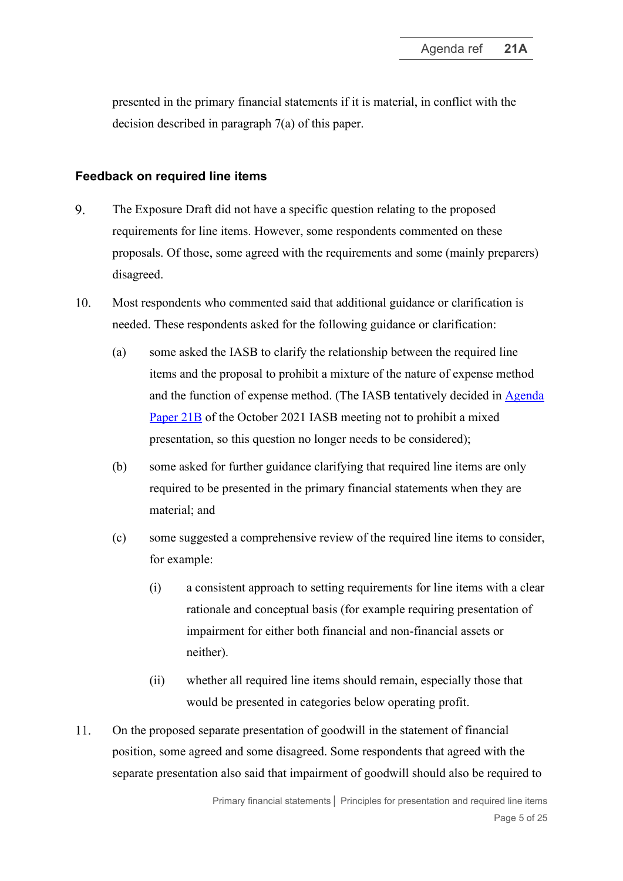presented in the primary financial statements if it is material, in conflict with the decision described in paragraph [7\(a\)](#page-3-3) of this paper.

#### **Feedback on required line items**

- <span id="page-4-0"></span>9. The Exposure Draft did not have a specific question relating to the proposed requirements for line items. However, some respondents commented on these proposals. Of those, some agreed with the requirements and some (mainly preparers) disagreed.
- <span id="page-4-2"></span>10. Most respondents who commented said that additional guidance or clarification is needed. These respondents asked for the following guidance or clarification:
	- (a) some asked the IASB to clarify the relationship between the required line items and the proposal to prohibit a mixture of the nature of expense method and the function of expense method. (The IASB tentatively decided in [Agenda](https://www.ifrs.org/content/dam/ifrs/meetings/2021/october/iasb/ap21b-primary-financial-statements-analysis-of-operating-expenses-presentation-in-the-statement-of-profit-or-loss.pdf)  [Paper 21B](https://www.ifrs.org/content/dam/ifrs/meetings/2021/october/iasb/ap21b-primary-financial-statements-analysis-of-operating-expenses-presentation-in-the-statement-of-profit-or-loss.pdf) of the October 2021 IASB meeting not to prohibit a mixed presentation, so this question no longer needs to be considered);
	- (b) some asked for further guidance clarifying that required line items are only required to be presented in the primary financial statements when they are material; and
	- (c) some suggested a comprehensive review of the required line items to consider, for example:
		- (i) a consistent approach to setting requirements for line items with a clear rationale and conceptual basis (for example requiring presentation of impairment for either both financial and non-financial assets or neither).
		- (ii) whether all required line items should remain, especially those that would be presented in categories below operating profit.
- <span id="page-4-1"></span> $11.$ On the proposed separate presentation of goodwill in the statement of financial position, some agreed and some disagreed. Some respondents that agreed with the separate presentation also said that impairment of goodwill should also be required to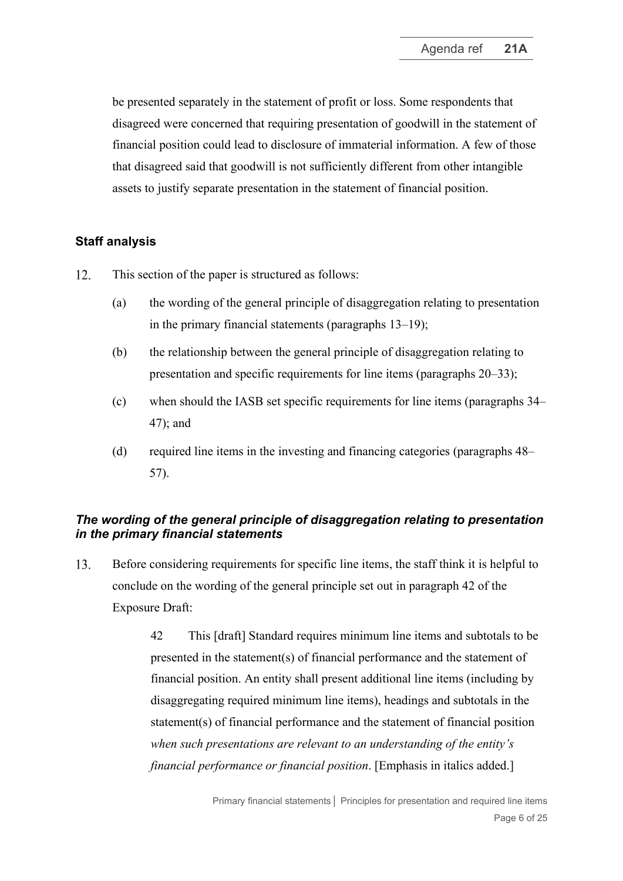be presented separately in the statement of profit or loss. Some respondents that disagreed were concerned that requiring presentation of goodwill in the statement of financial position could lead to disclosure of immaterial information. A few of those that disagreed said that goodwill is not sufficiently different from other intangible assets to justify separate presentation in the statement of financial position.

### **Staff analysis**

- <span id="page-5-0"></span>12. This section of the paper is structured as follows:
	- (a) the wording of the general principle of disaggregation relating to presentation in the primary financial statements (paragraphs [13](#page-5-1)[–19\)](#page-7-0);
	- (b) the relationship between the general principle of disaggregation relating to presentation and specific requirements for line items (paragraphs [20–](#page-7-1)[33\)](#page-11-0);
	- (c) when should the IASB set specific requirements for line items (paragraphs [34–](#page-12-0) [47\)](#page-16-0); and
	- (d) required line items in the investing and financing categories (paragraphs [48–](#page-17-0) [57\)](#page-20-0).

## *The wording of the general principle of disaggregation relating to presentation in the primary financial statements*

<span id="page-5-1"></span>13. Before considering requirements for specific line items, the staff think it is helpful to conclude on the wording of the general principle set out in paragraph 42 of the Exposure Draft:

> 42 This [draft] Standard requires minimum line items and subtotals to be presented in the statement(s) of financial performance and the statement of financial position. An entity shall present additional line items (including by disaggregating required minimum line items), headings and subtotals in the statement(s) of financial performance and the statement of financial position *when such presentations are relevant to an understanding of the entity's financial performance or financial position*. [Emphasis in italics added.]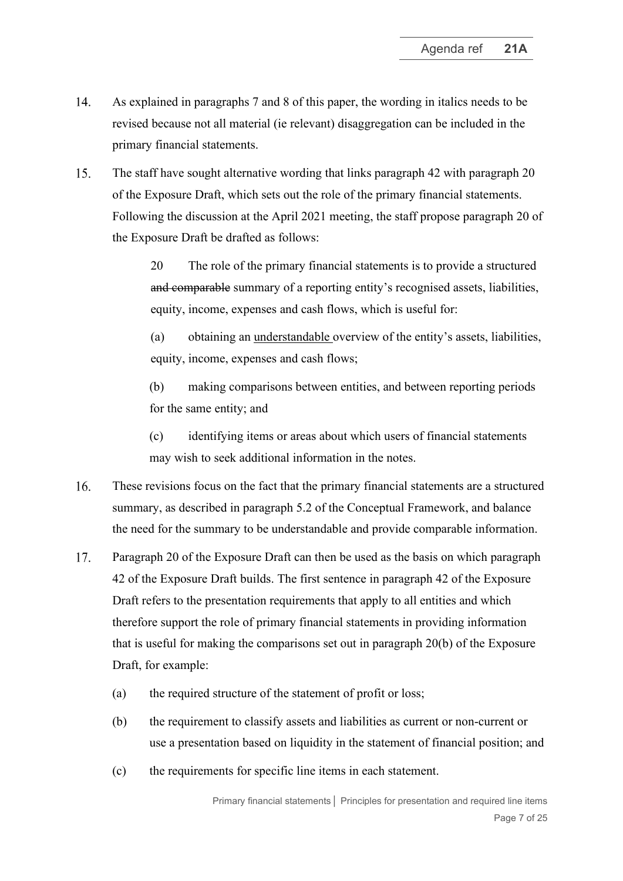- 14. As explained in paragraphs [7](#page-3-4) and [8](#page-3-0) of this paper, the wording in italics needs to be revised because not all material (ie relevant) disaggregation can be included in the primary financial statements.
- 15. The staff have sought alternative wording that links paragraph 42 with paragraph 20 of the Exposure Draft, which sets out the role of the primary financial statements. Following the discussion at the April 2021 meeting, the staff propose paragraph 20 of the Exposure Draft be drafted as follows:

20 The role of the primary financial statements is to provide a structured and comparable summary of a reporting entity's recognised assets, liabilities, equity, income, expenses and cash flows, which is useful for:

(a) obtaining an understandable overview of the entity's assets, liabilities, equity, income, expenses and cash flows;

(b) making comparisons between entities, and between reporting periods for the same entity; and

(c) identifying items or areas about which users of financial statements may wish to seek additional information in the notes.

- 16. These revisions focus on the fact that the primary financial statements are a structured summary, as described in paragraph 5.2 of the Conceptual Framework, and balance the need for the summary to be understandable and provide comparable information.
- 17. Paragraph 20 of the Exposure Draft can then be used as the basis on which paragraph 42 of the Exposure Draft builds. The first sentence in paragraph 42 of the Exposure Draft refers to the presentation requirements that apply to all entities and which therefore support the role of primary financial statements in providing information that is useful for making the comparisons set out in paragraph 20(b) of the Exposure Draft, for example:
	- (a) the required structure of the statement of profit or loss;
	- (b) the requirement to classify assets and liabilities as current or non-current or use a presentation based on liquidity in the statement of financial position; and
	- (c) the requirements for specific line items in each statement.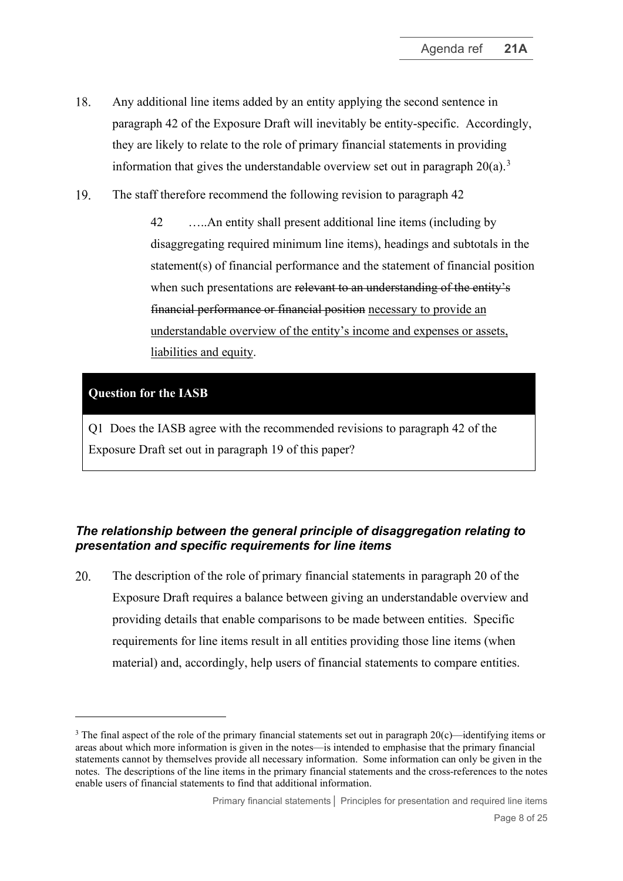- 18. Any additional line items added by an entity applying the second sentence in paragraph 42 of the Exposure Draft will inevitably be entity-specific. Accordingly, they are likely to relate to the role of primary financial statements in providing information that gives the understandable overview set out in paragraph  $20(a)$ .<sup>[3](#page-7-2)</sup>
- <span id="page-7-0"></span>19. The staff therefore recommend the following revision to paragraph 42

42 …..An entity shall present additional line items (including by disaggregating required minimum line items), headings and subtotals in the statement(s) of financial performance and the statement of financial position when such presentations are relevant to an understanding of the entity's financial performance or financial position necessary to provide an understandable overview of the entity's income and expenses or assets, liabilities and equity.

#### **Question for the IASB**

Q1 Does the IASB agree with the recommended revisions to paragraph 42 of the Exposure Draft set out in paragraph [19](#page-7-0) of this paper?

### *The relationship between the general principle of disaggregation relating to presentation and specific requirements for line items*

<span id="page-7-1"></span>The description of the role of primary financial statements in paragraph 20 of the 20. Exposure Draft requires a balance between giving an understandable overview and providing details that enable comparisons to be made between entities. Specific requirements for line items result in all entities providing those line items (when material) and, accordingly, help users of financial statements to compare entities.

<span id="page-7-2"></span><sup>&</sup>lt;sup>3</sup> The final aspect of the role of the primary financial statements set out in paragraph  $20(c)$ —identifying items or areas about which more information is given in the notes—is intended to emphasise that the primary financial statements cannot by themselves provide all necessary information. Some information can only be given in the notes. The descriptions of the line items in the primary financial statements and the cross-references to the notes enable users of financial statements to find that additional information.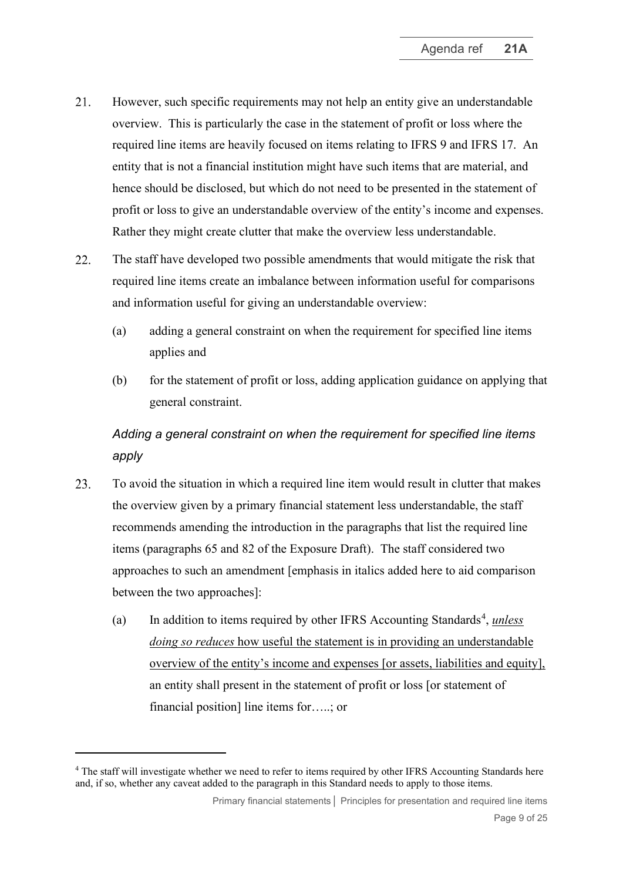- <span id="page-8-1"></span>21. However, such specific requirements may not help an entity give an understandable overview. This is particularly the case in the statement of profit or loss where the required line items are heavily focused on items relating to IFRS 9 and IFRS 17. An entity that is not a financial institution might have such items that are material, and hence should be disclosed, but which do not need to be presented in the statement of profit or loss to give an understandable overview of the entity's income and expenses. Rather they might create clutter that make the overview less understandable.
- 22. The staff have developed two possible amendments that would mitigate the risk that required line items create an imbalance between information useful for comparisons and information useful for giving an understandable overview:
	- (a) adding a general constraint on when the requirement for specified line items applies and
	- (b) for the statement of profit or loss, adding application guidance on applying that general constraint.

# *Adding a general constraint on when the requirement for specified line items apply*

- <span id="page-8-2"></span>23. To avoid the situation in which a required line item would result in clutter that makes the overview given by a primary financial statement less understandable, the staff recommends amending the introduction in the paragraphs that list the required line items (paragraphs 65 and 82 of the Exposure Draft). The staff considered two approaches to such an amendment [emphasis in italics added here to aid comparison between the two approaches]:
	- (a) In addition to items required by other IFRS Accounting Standards<sup>[4](#page-8-0)</sup>, *unless doing so reduces* how useful the statement is in providing an understandable overview of the entity's income and expenses [or assets, liabilities and equity], an entity shall present in the statement of profit or loss [or statement of financial position] line items for…..; or

<span id="page-8-0"></span><sup>4</sup> The staff will investigate whether we need to refer to items required by other IFRS Accounting Standards here and, if so, whether any caveat added to the paragraph in this Standard needs to apply to those items.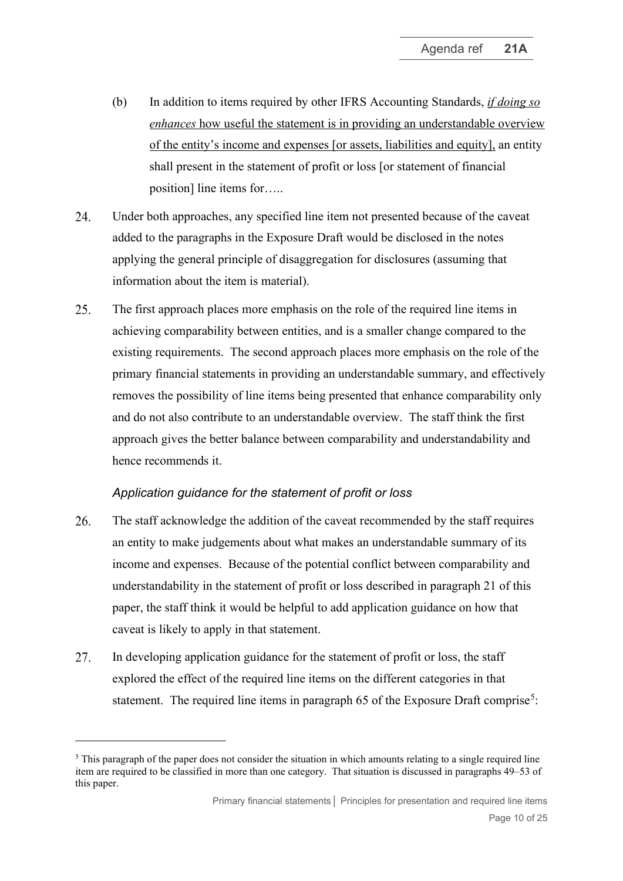- (b) In addition to items required by other IFRS Accounting Standards, *if doing so enhances* how useful the statement is in providing an understandable overview of the entity's income and expenses [or assets, liabilities and equity], an entity shall present in the statement of profit or loss [or statement of financial position] line items for…..
- 24. Under both approaches, any specified line item not presented because of the caveat added to the paragraphs in the Exposure Draft would be disclosed in the notes applying the general principle of disaggregation for disclosures (assuming that information about the item is material).
- 25. The first approach places more emphasis on the role of the required line items in achieving comparability between entities, and is a smaller change compared to the existing requirements. The second approach places more emphasis on the role of the primary financial statements in providing an understandable summary, and effectively removes the possibility of line items being presented that enhance comparability only and do not also contribute to an understandable overview. The staff think the first approach gives the better balance between comparability and understandability and hence recommends it.

### *Application guidance for the statement of profit or loss*

- <span id="page-9-1"></span>26. The staff acknowledge the addition of the caveat recommended by the staff requires an entity to make judgements about what makes an understandable summary of its income and expenses. Because of the potential conflict between comparability and understandability in the statement of profit or loss described in paragraph [21](#page-8-1) of this paper, the staff think it would be helpful to add application guidance on how that caveat is likely to apply in that statement.
- 27. In developing application guidance for the statement of profit or loss, the staff explored the effect of the required line items on the different categories in that statement. The required line items in paragraph 6[5](#page-9-0) of the Exposure Draft comprise<sup>5</sup>:

<span id="page-9-0"></span><sup>&</sup>lt;sup>5</sup> This paragraph of the paper does not consider the situation in which amounts relating to a single required line item are required to be classified in more than one category. That situation is discussed in paragraph[s 49](#page-17-1)[–53](#page-18-0) of this paper.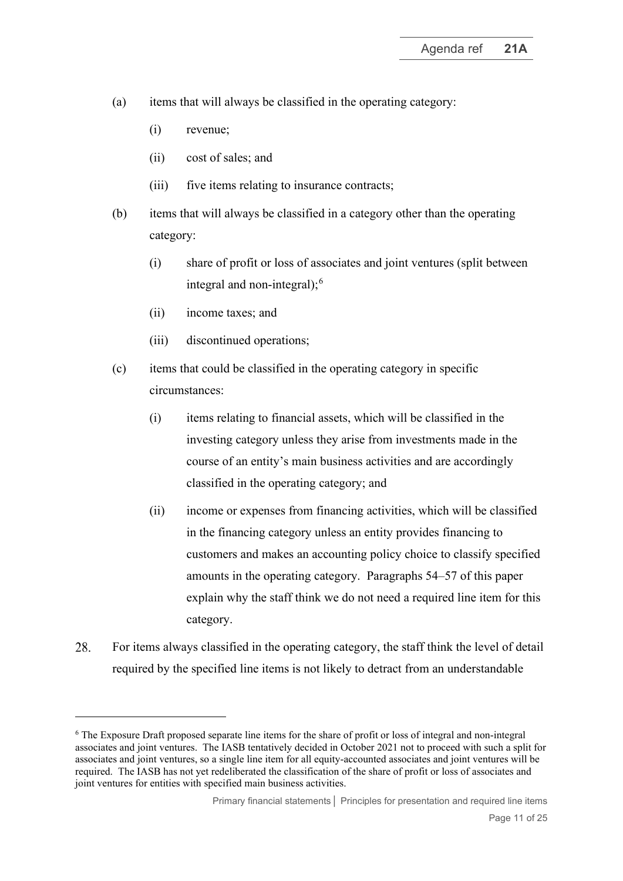- $(a)$  items that will always be classified in the operating category:
	- (i) revenue;
	- (ii) cost of sales; and
	- (iii) five items relating to insurance contracts;
- (b) items that will always be classified in a category other than the operating category:
	- (i) share of profit or loss of associates and joint ventures (split between integral and non-integral); $<sup>6</sup>$  $<sup>6</sup>$  $<sup>6</sup>$ </sup>
	- (ii) income taxes; and
	- (iii) discontinued operations;
- <span id="page-10-2"></span><span id="page-10-1"></span>(c) items that could be classified in the operating category in specific circumstances:
	- (i) items relating to financial assets, which will be classified in the investing category unless they arise from investments made in the course of an entity's main business activities and are accordingly classified in the operating category; and
	- (ii) income or expenses from financing activities, which will be classified in the financing category unless an entity provides financing to customers and makes an accounting policy choice to classify specified amounts in the operating category. Paragraphs [54](#page-19-0)[–57](#page-20-0) of this paper explain why the staff think we do not need a required line item for this category.
- <span id="page-10-3"></span>For items always classified in the operating category, the staff think the level of detail 28. required by the specified line items is not likely to detract from an understandable

<span id="page-10-0"></span><sup>6</sup> The Exposure Draft proposed separate line items for the share of profit or loss of integral and non-integral associates and joint ventures. The IASB tentatively decided in October 2021 not to proceed with such a split for associates and joint ventures, so a single line item for all equity-accounted associates and joint ventures will be required. The IASB has not yet redeliberated the classification of the share of profit or loss of associates and joint ventures for entities with specified main business activities.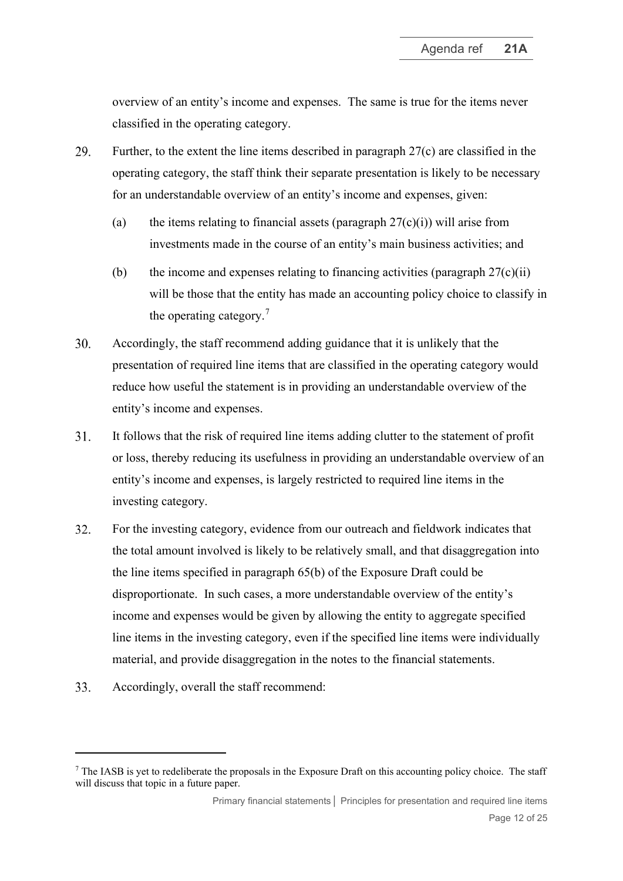overview of an entity's income and expenses. The same is true for the items never classified in the operating category.

- 29. Further, to the extent the line items described in paragraph [27\(c\)](#page-10-1) are classified in the operating category, the staff think their separate presentation is likely to be necessary for an understandable overview of an entity's income and expenses, given:
	- (a) the items relating to financial assets (paragraph  $27(c)(i)$ ) will arise from investments made in the course of an entity's main business activities; and
	- (b) the income and expenses relating to financing activities (paragraph  $27(c)(ii)$ ) will be those that the entity has made an accounting policy choice to classify in the operating category.<sup>[7](#page-11-1)</sup>
- $30.$ Accordingly, the staff recommend adding guidance that it is unlikely that the presentation of required line items that are classified in the operating category would reduce how useful the statement is in providing an understandable overview of the entity's income and expenses.
- 31. It follows that the risk of required line items adding clutter to the statement of profit or loss, thereby reducing its usefulness in providing an understandable overview of an entity's income and expenses, is largely restricted to required line items in the investing category.
- 32. For the investing category, evidence from our outreach and fieldwork indicates that the total amount involved is likely to be relatively small, and that disaggregation into the line items specified in paragraph 65(b) of the Exposure Draft could be disproportionate. In such cases, a more understandable overview of the entity's income and expenses would be given by allowing the entity to aggregate specified line items in the investing category, even if the specified line items were individually material, and provide disaggregation in the notes to the financial statements.
- <span id="page-11-0"></span>33. Accordingly, overall the staff recommend:

<span id="page-11-1"></span><sup>7</sup> The IASB is yet to redeliberate the proposals in the Exposure Draft on this accounting policy choice. The staff will discuss that topic in a future paper.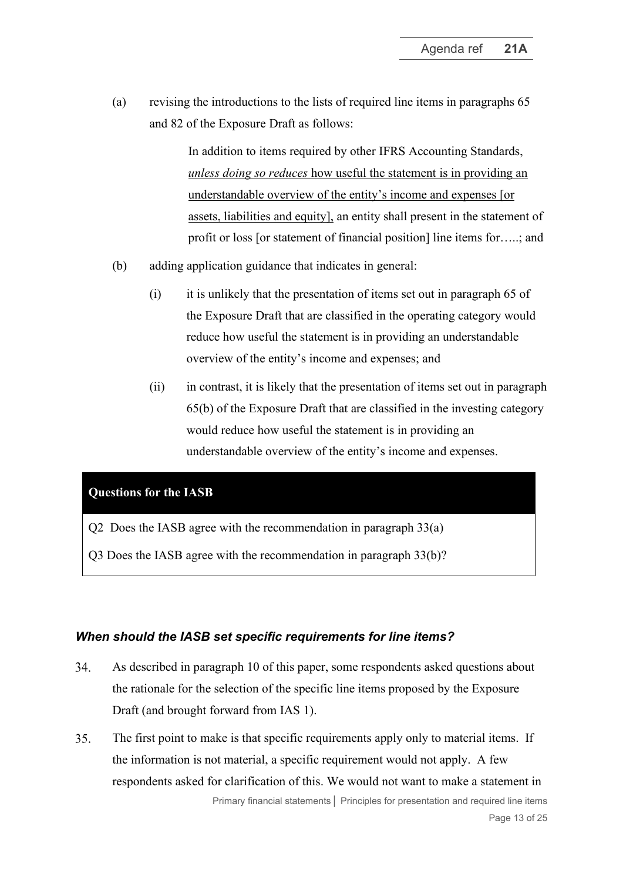<span id="page-12-1"></span>(a) revising the introductions to the lists of required line items in paragraphs 65 and 82 of the Exposure Draft as follows:

> In addition to items required by other IFRS Accounting Standards, *unless doing so reduces* how useful the statement is in providing an understandable overview of the entity's income and expenses [or assets, liabilities and equity], an entity shall present in the statement of profit or loss [or statement of financial position] line items for…..; and

- <span id="page-12-2"></span>(b) adding application guidance that indicates in general:
	- (i) it is unlikely that the presentation of items set out in paragraph 65 of the Exposure Draft that are classified in the operating category would reduce how useful the statement is in providing an understandable overview of the entity's income and expenses; and
	- (ii) in contrast, it is likely that the presentation of items set out in paragraph 65(b) of the Exposure Draft that are classified in the investing category would reduce how useful the statement is in providing an understandable overview of the entity's income and expenses.

#### **Questions for the IASB**

Q2 Does the IASB agree with the recommendation in paragraph 3[3\(a\)](#page-12-1)

Q3 Does the IASB agree with the recommendation in paragraph 3[3\(b\)?](#page-12-2)

#### *When should the IASB set specific requirements for line items?*

- <span id="page-12-0"></span>As described in paragraph [10](#page-4-2) of this paper, some respondents asked questions about 34. the rationale for the selection of the specific line items proposed by the Exposure Draft (and brought forward from IAS 1).
- <span id="page-12-3"></span>The first point to make is that specific requirements apply only to material items. If 35. the information is not material, a specific requirement would not apply. A few respondents asked for clarification of this. We would not want to make a statement in Primary financial statements**│** Principles for presentation and required line items

Page 13 of 25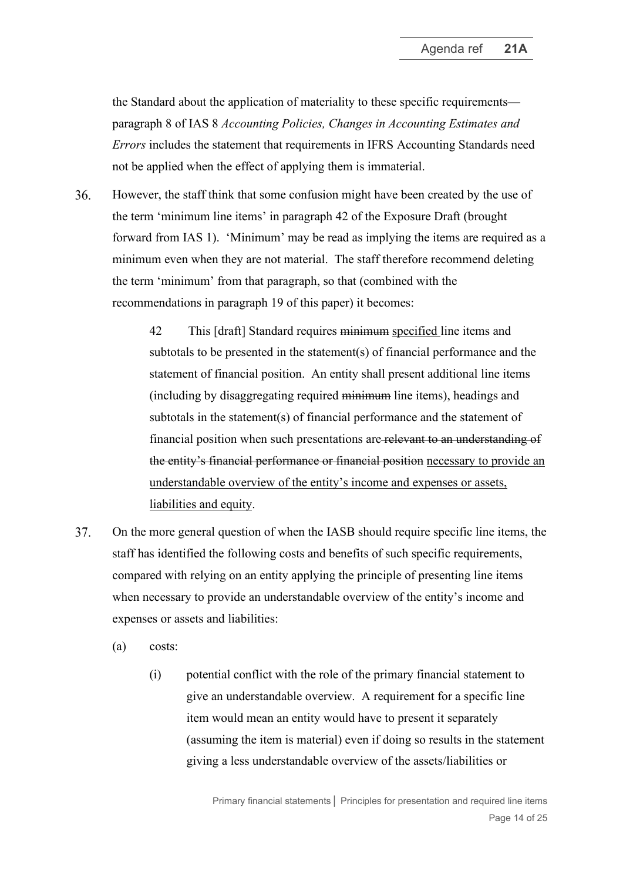the Standard about the application of materiality to these specific requirements paragraph 8 of IAS 8 *Accounting Policies, Changes in Accounting Estimates and Errors* includes the statement that requirements in IFRS Accounting Standards need not be applied when the effect of applying them is immaterial.

36. However, the staff think that some confusion might have been created by the use of the term 'minimum line items' in paragraph 42 of the Exposure Draft (brought forward from IAS 1). 'Minimum' may be read as implying the items are required as a minimum even when they are not material. The staff therefore recommend deleting the term 'minimum' from that paragraph, so that (combined with the recommendations in paragraph [19](#page-7-0) of this paper) it becomes:

> 42 This [draft] Standard requires minimum specified line items and subtotals to be presented in the statement(s) of financial performance and the statement of financial position. An entity shall present additional line items (including by disaggregating required minimum line items), headings and subtotals in the statement(s) of financial performance and the statement of financial position when such presentations are relevant to an understanding of the entity's financial performance or financial position necessary to provide an understandable overview of the entity's income and expenses or assets, liabilities and equity.

- <span id="page-13-0"></span>37. On the more general question of when the IASB should require specific line items, the staff has identified the following costs and benefits of such specific requirements, compared with relying on an entity applying the principle of presenting line items when necessary to provide an understandable overview of the entity's income and expenses or assets and liabilities:
	- (a) costs:
		- (i) potential conflict with the role of the primary financial statement to give an understandable overview. A requirement for a specific line item would mean an entity would have to present it separately (assuming the item is material) even if doing so results in the statement giving a less understandable overview of the assets/liabilities or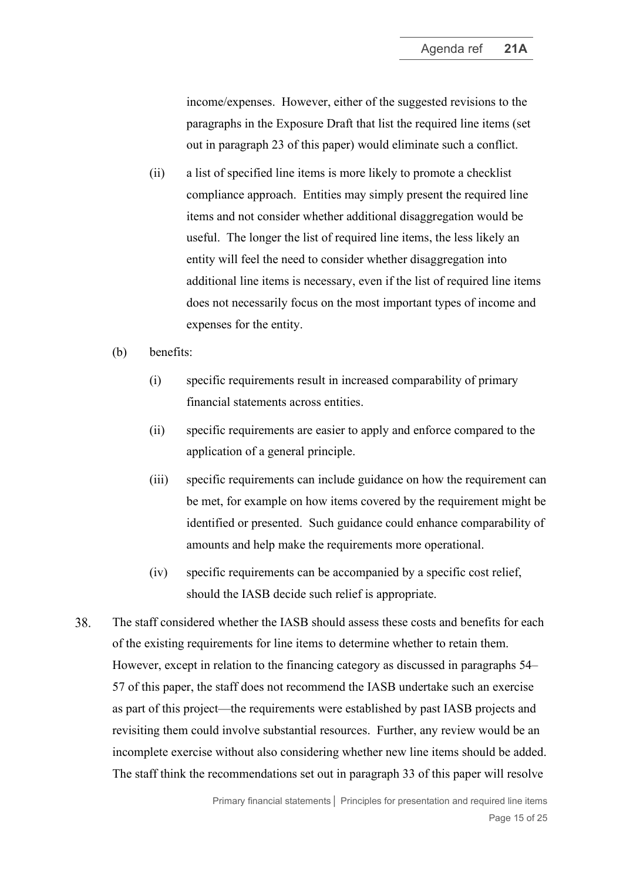income/expenses. However, either of the suggested revisions to the paragraphs in the Exposure Draft that list the required line items (set out in paragraph [23](#page-8-2) of this paper) would eliminate such a conflict.

- (ii) a list of specified line items is more likely to promote a checklist compliance approach. Entities may simply present the required line items and not consider whether additional disaggregation would be useful. The longer the list of required line items, the less likely an entity will feel the need to consider whether disaggregation into additional line items is necessary, even if the list of required line items does not necessarily focus on the most important types of income and expenses for the entity.
- (b) benefits:
	- (i) specific requirements result in increased comparability of primary financial statements across entities.
	- (ii) specific requirements are easier to apply and enforce compared to the application of a general principle.
	- (iii) specific requirements can include guidance on how the requirement can be met, for example on how items covered by the requirement might be identified or presented. Such guidance could enhance comparability of amounts and help make the requirements more operational.
	- (iv) specific requirements can be accompanied by a specific cost relief, should the IASB decide such relief is appropriate.
- The staff considered whether the IASB should assess these costs and benefits for each 38. of the existing requirements for line items to determine whether to retain them. However, except in relation to the financing category as discussed in paragraphs [54–](#page-19-0) [57](#page-20-0) of this paper, the staff does not recommend the IASB undertake such an exercise as part of this project—the requirements were established by past IASB projects and revisiting them could involve substantial resources. Further, any review would be an incomplete exercise without also considering whether new line items should be added. The staff think the recommendations set out in paragraph [33](#page-11-0) of this paper will resolve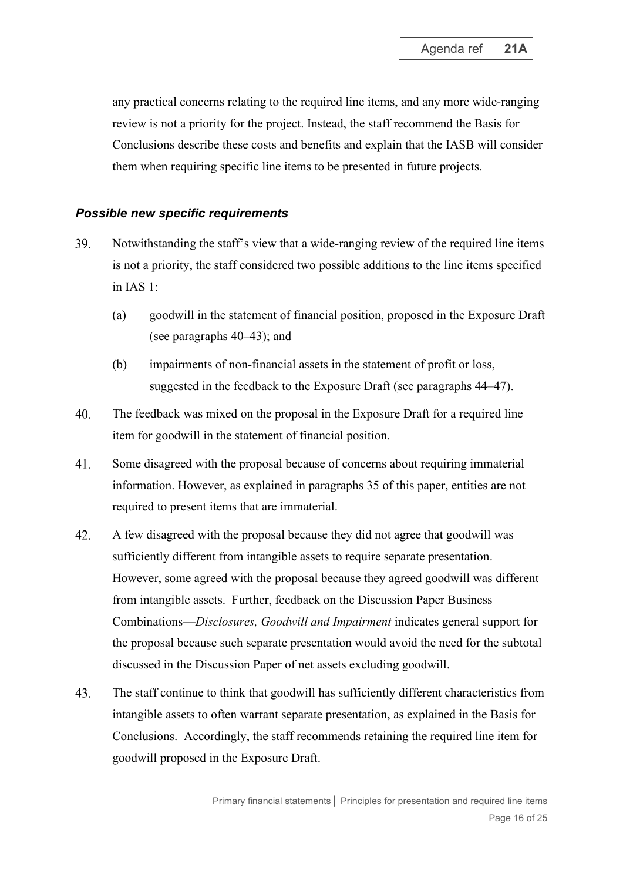any practical concerns relating to the required line items, and any more wide-ranging review is not a priority for the project. Instead, the staff recommend the Basis for Conclusions describe these costs and benefits and explain that the IASB will consider them when requiring specific line items to be presented in future projects.

#### *Possible new specific requirements*

- 39. Notwithstanding the staff's view that a wide-ranging review of the required line items is not a priority, the staff considered two possible additions to the line items specified in IAS 1:
	- (a) goodwill in the statement of financial position, proposed in the Exposure Draft (see paragraphs [40–](#page-15-0)[43\)](#page-15-1); and
	- (b) impairments of non-financial assets in the statement of profit or loss, suggested in the feedback to the Exposure Draft (see paragraphs [44–](#page-16-1)[47\)](#page-16-0).
- <span id="page-15-0"></span>40. The feedback was mixed on the proposal in the Exposure Draft for a required line item for goodwill in the statement of financial position.
- 41. Some disagreed with the proposal because of concerns about requiring immaterial information. However, as explained in paragraphs [35](#page-12-3) of this paper, entities are not required to present items that are immaterial.
- 42. A few disagreed with the proposal because they did not agree that goodwill was sufficiently different from intangible assets to require separate presentation. However, some agreed with the proposal because they agreed goodwill was different from intangible assets. Further, feedback on the Discussion Paper Business Combinations—*Disclosures, Goodwill and Impairment* indicates general support for the proposal because such separate presentation would avoid the need for the subtotal discussed in the Discussion Paper of net assets excluding goodwill.
- <span id="page-15-1"></span>43. The staff continue to think that goodwill has sufficiently different characteristics from intangible assets to often warrant separate presentation, as explained in the Basis for Conclusions. Accordingly, the staff recommends retaining the required line item for goodwill proposed in the Exposure Draft.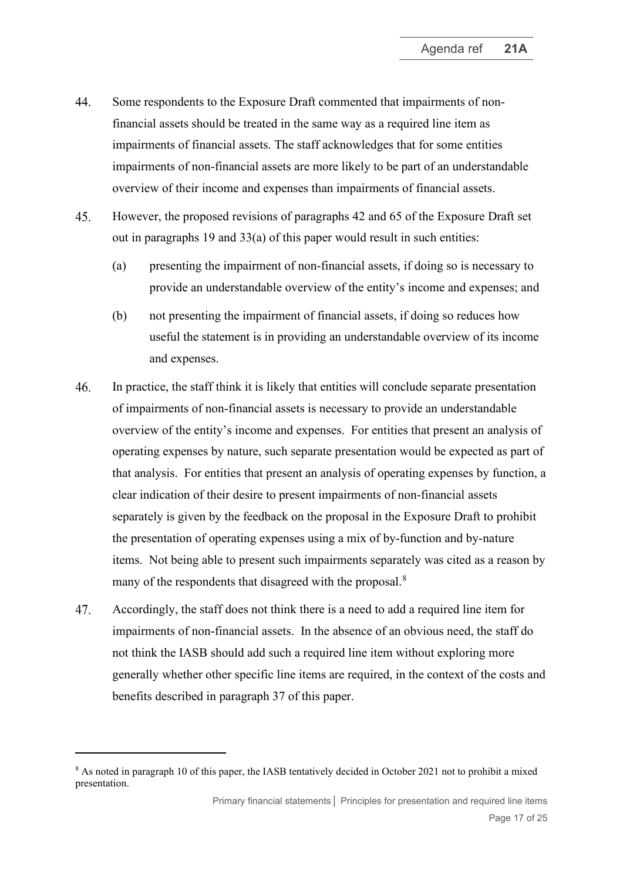- <span id="page-16-1"></span>44. Some respondents to the Exposure Draft commented that impairments of nonfinancial assets should be treated in the same way as a required line item as impairments of financial assets. The staff acknowledges that for some entities impairments of non-financial assets are more likely to be part of an understandable overview of their income and expenses than impairments of financial assets.
- $45.$ However, the proposed revisions of paragraphs 42 and 65 of the Exposure Draft set out in paragraphs [19](#page-7-0) and [33\(a\)](#page-12-1) of this paper would result in such entities:
	- (a) presenting the impairment of non-financial assets, if doing so is necessary to provide an understandable overview of the entity's income and expenses; and
	- (b) not presenting the impairment of financial assets, if doing so reduces how useful the statement is in providing an understandable overview of its income and expenses.
- 46. In practice, the staff think it is likely that entities will conclude separate presentation of impairments of non-financial assets is necessary to provide an understandable overview of the entity's income and expenses. For entities that present an analysis of operating expenses by nature, such separate presentation would be expected as part of that analysis. For entities that present an analysis of operating expenses by function, a clear indication of their desire to present impairments of non-financial assets separately is given by the feedback on the proposal in the Exposure Draft to prohibit the presentation of operating expenses using a mix of by-function and by-nature items. Not being able to present such impairments separately was cited as a reason by many of the respondents that disagreed with the proposal.<sup>[8](#page-16-2)</sup>
- <span id="page-16-0"></span>47. Accordingly, the staff does not think there is a need to add a required line item for impairments of non-financial assets. In the absence of an obvious need, the staff do not think the IASB should add such a required line item without exploring more generally whether other specific line items are required, in the context of the costs and benefits described in paragraph [37](#page-13-0) of this paper.

<span id="page-16-2"></span><sup>&</sup>lt;sup>8</sup> As noted in paragraph [10](#page-4-2) of this paper, the IASB tentatively decided in October 2021 not to prohibit a mixed presentation.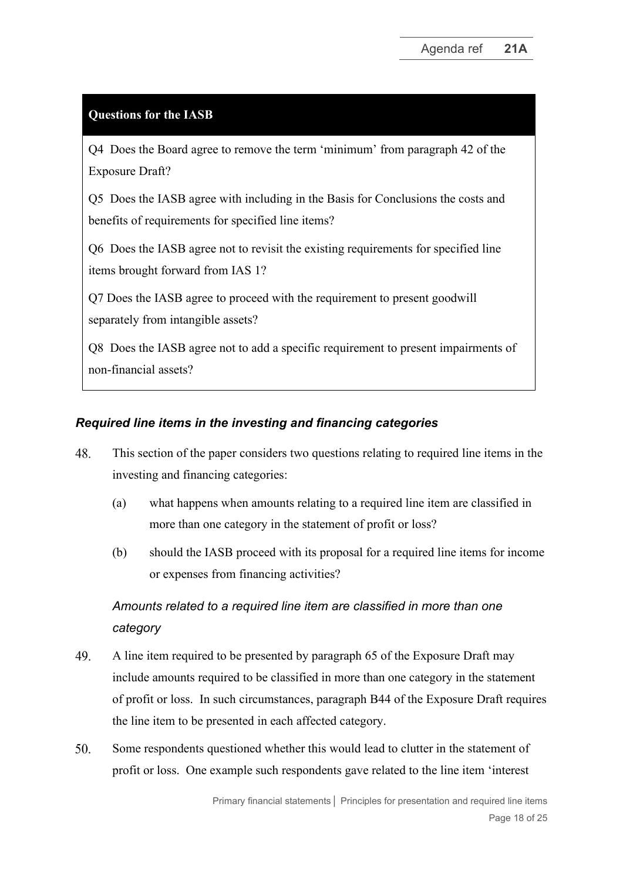#### **Questions for the IASB**

Q4 Does the Board agree to remove the term 'minimum' from paragraph 42 of the Exposure Draft?

Q5 Does the IASB agree with including in the Basis for Conclusions the costs and benefits of requirements for specified line items?

Q6 Does the IASB agree not to revisit the existing requirements for specified line items brought forward from IAS 1?

Q7 Does the IASB agree to proceed with the requirement to present goodwill separately from intangible assets?

Q8 Does the IASB agree not to add a specific requirement to present impairments of non-financial assets?

## *Required line items in the investing and financing categories*

- <span id="page-17-0"></span>48. This section of the paper considers two questions relating to required line items in the investing and financing categories:
	- (a) what happens when amounts relating to a required line item are classified in more than one category in the statement of profit or loss?
	- (b) should the IASB proceed with its proposal for a required line items for income or expenses from financing activities?

# *Amounts related to a required line item are classified in more than one category*

- <span id="page-17-1"></span>49. A line item required to be presented by paragraph 65 of the Exposure Draft may include amounts required to be classified in more than one category in the statement of profit or loss. In such circumstances, paragraph B44 of the Exposure Draft requires the line item to be presented in each affected category.
- 50. Some respondents questioned whether this would lead to clutter in the statement of profit or loss. One example such respondents gave related to the line item 'interest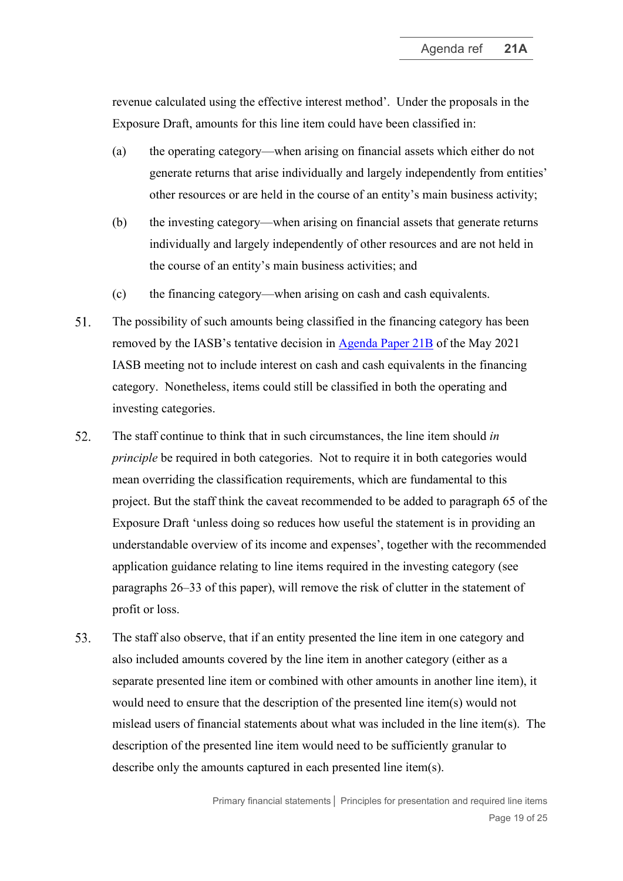revenue calculated using the effective interest method'. Under the proposals in the Exposure Draft, amounts for this line item could have been classified in:

- (a) the operating category—when arising on financial assets which either do not generate returns that arise individually and largely independently from entities' other resources or are held in the course of an entity's main business activity;
- (b) the investing category—when arising on financial assets that generate returns individually and largely independently of other resources and are not held in the course of an entity's main business activities; and
- (c) the financing category—when arising on cash and cash equivalents.
- 51. The possibility of such amounts being classified in the financing category has been removed by the IASB's tentative decision in [Agenda Paper 21B](https://www.ifrs.org/content/dam/ifrs/meetings/2021/may/iasb/ap21b-subtotals-and-categories-profit-before-financing-and-income-tax.pdf) of the May 2021 IASB meeting not to include interest on cash and cash equivalents in the financing category. Nonetheless, items could still be classified in both the operating and investing categories.
- 52. The staff continue to think that in such circumstances, the line item should *in principle* be required in both categories. Not to require it in both categories would mean overriding the classification requirements, which are fundamental to this project. But the staff think the caveat recommended to be added to paragraph 65 of the Exposure Draft 'unless doing so reduces how useful the statement is in providing an understandable overview of its income and expenses', together with the recommended application guidance relating to line items required in the investing category (see paragraphs [26–](#page-9-1)[33](#page-11-0) of this paper), will remove the risk of clutter in the statement of profit or loss.
- <span id="page-18-0"></span>53. The staff also observe, that if an entity presented the line item in one category and also included amounts covered by the line item in another category (either as a separate presented line item or combined with other amounts in another line item), it would need to ensure that the description of the presented line item(s) would not mislead users of financial statements about what was included in the line item(s). The description of the presented line item would need to be sufficiently granular to describe only the amounts captured in each presented line item(s).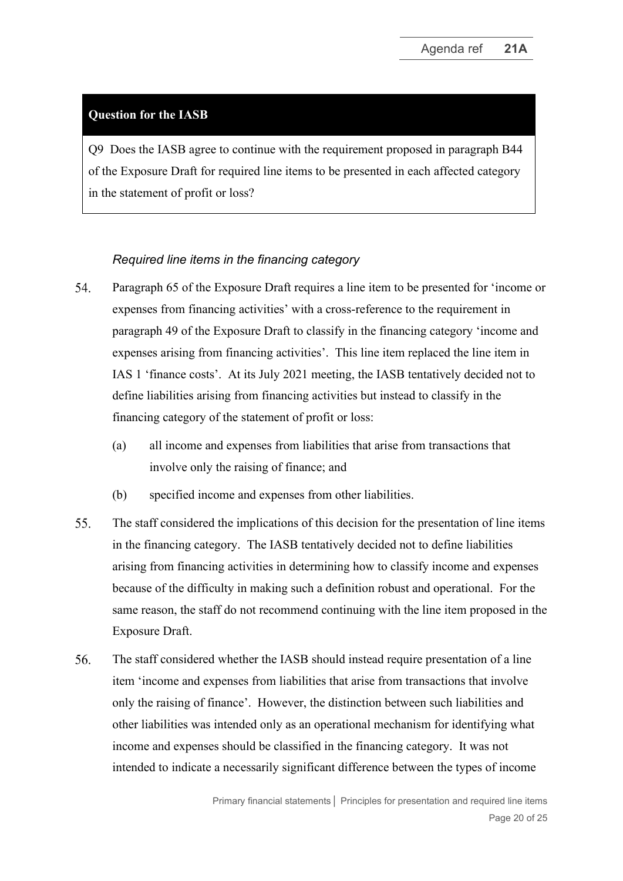#### **Question for the IASB**

Q9 Does the IASB agree to continue with the requirement proposed in paragraph B44 of the Exposure Draft for required line items to be presented in each affected category in the statement of profit or loss?

## *Required line items in the financing category*

- <span id="page-19-0"></span>54. Paragraph 65 of the Exposure Draft requires a line item to be presented for 'income or expenses from financing activities' with a cross-reference to the requirement in paragraph 49 of the Exposure Draft to classify in the financing category 'income and expenses arising from financing activities'. This line item replaced the line item in IAS 1 'finance costs'. At its July 2021 meeting, the IASB tentatively decided not to define liabilities arising from financing activities but instead to classify in the financing category of the statement of profit or loss:
	- (a) all income and expenses from liabilities that arise from transactions that involve only the raising of finance; and
	- (b) specified income and expenses from other liabilities.
- 55. The staff considered the implications of this decision for the presentation of line items in the financing category. The IASB tentatively decided not to define liabilities arising from financing activities in determining how to classify income and expenses because of the difficulty in making such a definition robust and operational. For the same reason, the staff do not recommend continuing with the line item proposed in the Exposure Draft.
- 56. The staff considered whether the IASB should instead require presentation of a line item 'income and expenses from liabilities that arise from transactions that involve only the raising of finance'. However, the distinction between such liabilities and other liabilities was intended only as an operational mechanism for identifying what income and expenses should be classified in the financing category. It was not intended to indicate a necessarily significant difference between the types of income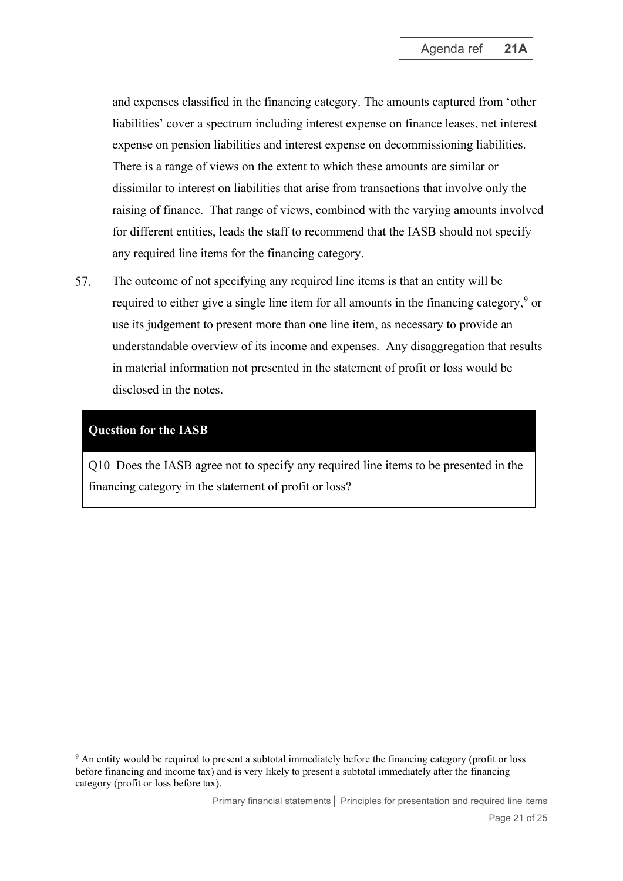and expenses classified in the financing category. The amounts captured from 'other liabilities' cover a spectrum including interest expense on finance leases, net interest expense on pension liabilities and interest expense on decommissioning liabilities. There is a range of views on the extent to which these amounts are similar or dissimilar to interest on liabilities that arise from transactions that involve only the raising of finance. That range of views, combined with the varying amounts involved for different entities, leads the staff to recommend that the IASB should not specify any required line items for the financing category.

<span id="page-20-0"></span>57. The outcome of not specifying any required line items is that an entity will be required to either give a single line item for all amounts in the financing category,  $9$  or use its judgement to present more than one line item, as necessary to provide an understandable overview of its income and expenses. Any disaggregation that results in material information not presented in the statement of profit or loss would be disclosed in the notes.

### **Question for the IASB**

Q10 Does the IASB agree not to specify any required line items to be presented in the financing category in the statement of profit or loss?

<span id="page-20-1"></span><sup>&</sup>lt;sup>9</sup> An entity would be required to present a subtotal immediately before the financing category (profit or loss before financing and income tax) and is very likely to present a subtotal immediately after the financing category (profit or loss before tax).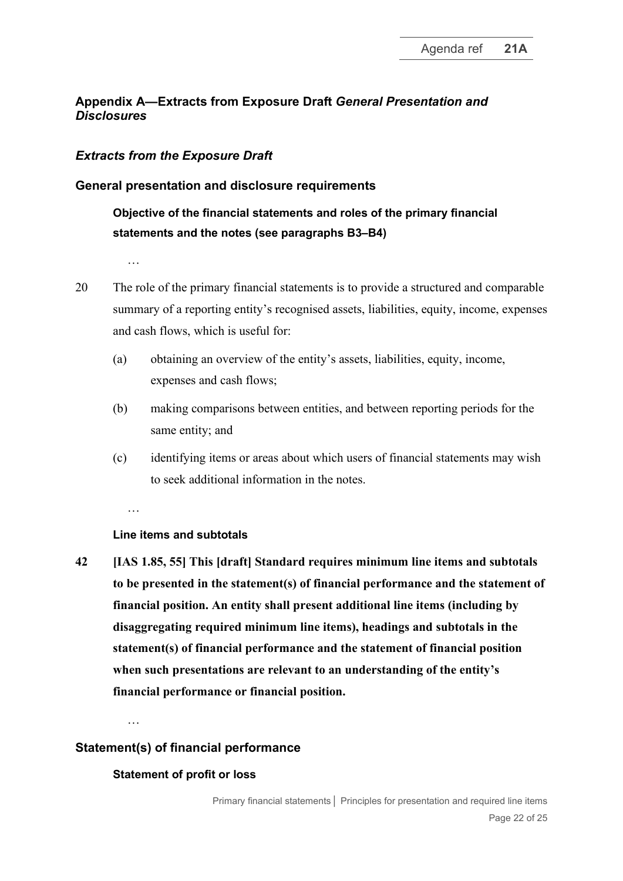## **Appendix A—Extracts from Exposure Draft** *General Presentation and Disclosures*

## *Extracts from the Exposure Draft*

## **General presentation and disclosure requirements**

# **Objective of the financial statements and roles of the primary financial statements and the notes (see paragraphs B3–B4)**

…

- 20 The role of the primary financial statements is to provide a structured and comparable summary of a reporting entity's recognised assets, liabilities, equity, income, expenses and cash flows, which is useful for:
	- (a) obtaining an overview of the entity's assets, liabilities, equity, income, expenses and cash flows;
	- (b) making comparisons between entities, and between reporting periods for the same entity; and
	- (c) identifying items or areas about which users of financial statements may wish to seek additional information in the notes.

…

### **Line items and subtotals**

**42 [IAS 1.85, 55] This [draft] Standard requires minimum line items and subtotals to be presented in the statement(s) of financial performance and the statement of financial position. An entity shall present additional line items (including by disaggregating required minimum line items), headings and subtotals in the statement(s) of financial performance and the statement of financial position when such presentations are relevant to an understanding of the entity's financial performance or financial position.**

…

## **Statement(s) of financial performance**

### **Statement of profit or loss**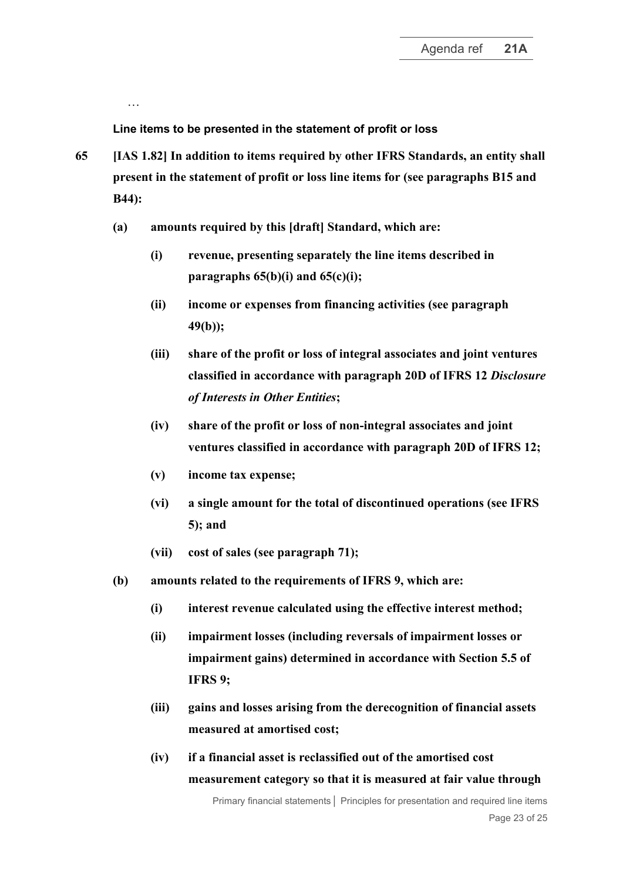**Line items to be presented in the statement of profit or loss**

…

- **65 [IAS 1.82] In addition to items required by other IFRS Standards, an entity shall present in the statement of profit or loss line items for (see paragraphs B15 and B44):**
	- **(a) amounts required by this [draft] Standard, which are:**
		- **(i) revenue, presenting separately the line items described in paragraphs 65(b)(i) and 65(c)(i);**
		- **(ii) income or expenses from financing activities (see paragraph 49(b));**
		- **(iii) share of the profit or loss of integral associates and joint ventures classified in accordance with paragraph 20D of IFRS 12** *Disclosure of Interests in Other Entities***;**
		- **(iv) share of the profit or loss of non-integral associates and joint ventures classified in accordance with paragraph 20D of IFRS 12;**
		- **(v) income tax expense;**
		- **(vi) a single amount for the total of discontinued operations (see IFRS 5); and**
		- **(vii) cost of sales (see paragraph 71);**
	- **(b) amounts related to the requirements of IFRS 9, which are:**
		- **(i) interest revenue calculated using the effective interest method;**
		- **(ii) impairment losses (including reversals of impairment losses or impairment gains) determined in accordance with Section 5.5 of IFRS 9;**
		- **(iii) gains and losses arising from the derecognition of financial assets measured at amortised cost;**
		- **(iv) if a financial asset is reclassified out of the amortised cost measurement category so that it is measured at fair value through**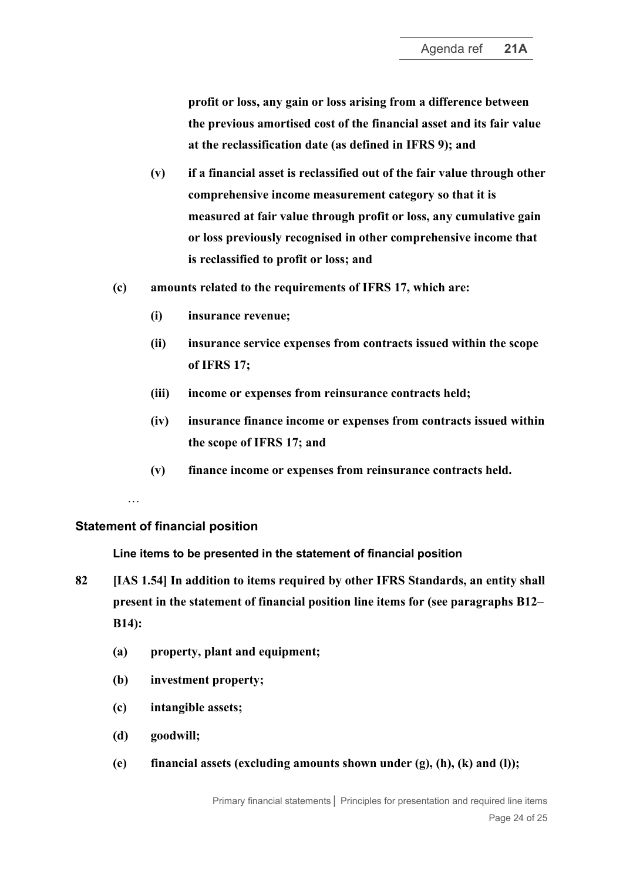**profit or loss, any gain or loss arising from a difference between the previous amortised cost of the financial asset and its fair value at the reclassification date (as defined in IFRS 9); and**

- **(v) if a financial asset is reclassified out of the fair value through other comprehensive income measurement category so that it is measured at fair value through profit or loss, any cumulative gain or loss previously recognised in other comprehensive income that is reclassified to profit or loss; and**
- **(c) amounts related to the requirements of IFRS 17, which are:**
	- **(i) insurance revenue;**
	- **(ii) insurance service expenses from contracts issued within the scope of IFRS 17;**
	- **(iii) income or expenses from reinsurance contracts held;**
	- **(iv) insurance finance income or expenses from contracts issued within the scope of IFRS 17; and**
	- **(v) finance income or expenses from reinsurance contracts held.**
	- …

### **Statement of financial position**

**Line items to be presented in the statement of financial position**

- **82 [IAS 1.54] In addition to items required by other IFRS Standards, an entity shall present in the statement of financial position line items for (see paragraphs B12– B14):**
	- **(a) property, plant and equipment;**
	- **(b) investment property;**
	- **(c) intangible assets;**
	- **(d) goodwill;**
	- **(e) financial assets (excluding amounts shown under (g), (h), (k) and (l));**